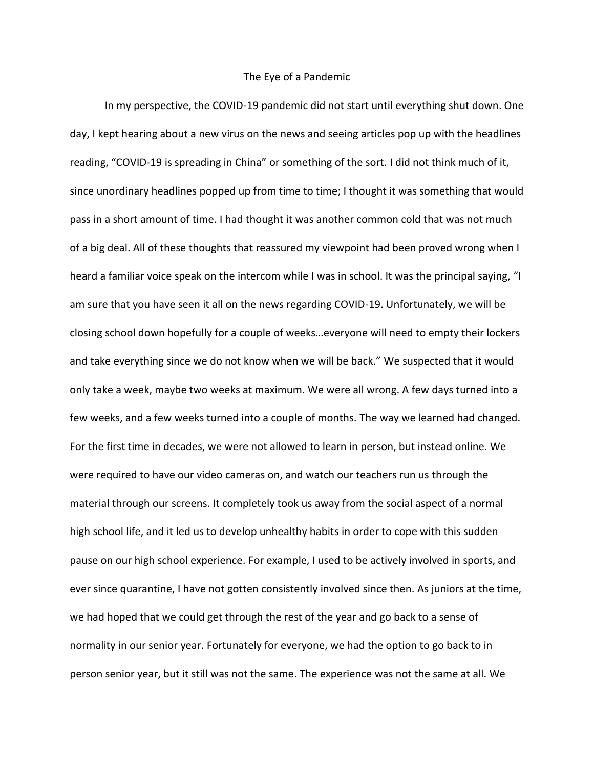## The Eye of a Pandemic

In my perspective, the COVID-19 pandemic did not start until everything shut down. One day, I kept hearing about a new virus on the news and seeing articles pop up with the headlines reading, "COVID-19 is spreading in China" or something of the sort. I did not think much of it, since unordinary headlines popped up from time to time; I thought it was something that would pass in a short amount of time. I had thought it was another common cold that was not much of a big deal. All of these thoughts that reassured my viewpoint had been proved wrong when I heard a familiar voice speak on the intercom while I was in school. It was the principal saying, "I am sure that you have seen it all on the news regarding COVID-19. Unfortunately, we will be closing school down hopefully for a couple of weeks…everyone will need to empty their lockers and take everything since we do not know when we will be back." We suspected that it would only take a week, maybe two weeks at maximum. We were all wrong. A few days turned into a few weeks, and a few weeks turned into a couple of months. The way we learned had changed. For the first time in decades, we were not allowed to learn in person, but instead online. We were required to have our video cameras on, and watch our teachers run us through the material through our screens. It completely took us away from the social aspect of a normal high school life, and it led us to develop unhealthy habits in order to cope with this sudden pause on our high school experience. For example, I used to be actively involved in sports, and ever since quarantine, I have not gotten consistently involved since then. As juniors at the time, we had hoped that we could get through the rest of the year and go back to a sense of normality in our senior year. Fortunately for everyone, we had the option to go back to in person senior year, but it still was not the same. The experience was not the same at all. We